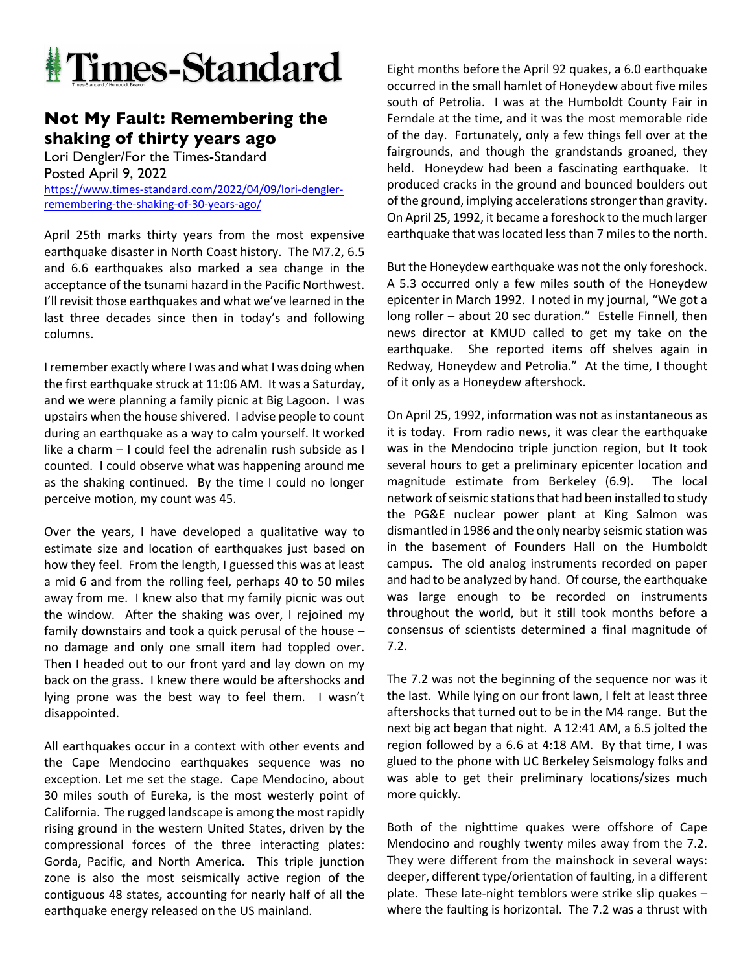

## **Not My Fault: Remembering the shaking of thirty years ago**

Lori Dengler/For the Times-Standard Posted April 9, 2022 https://www.times-standard.com/2022/04/09/lori-denglerremembering-the-shaking-of-30-years-ago/

April 25th marks thirty years from the most expensive earthquake disaster in North Coast history. The M7.2, 6.5 and 6.6 earthquakes also marked a sea change in the acceptance of the tsunami hazard in the Pacific Northwest. I'll revisit those earthquakes and what we've learned in the last three decades since then in today's and following columns.

I remember exactly where I was and what I was doing when the first earthquake struck at 11:06 AM. It was a Saturday, and we were planning a family picnic at Big Lagoon. I was upstairs when the house shivered. I advise people to count during an earthquake as a way to calm yourself. It worked like a charm – I could feel the adrenalin rush subside as I counted. I could observe what was happening around me as the shaking continued. By the time I could no longer perceive motion, my count was 45.

Over the years, I have developed a qualitative way to estimate size and location of earthquakes just based on how they feel. From the length, I guessed this was at least a mid 6 and from the rolling feel, perhaps 40 to 50 miles away from me. I knew also that my family picnic was out the window. After the shaking was over, I rejoined my family downstairs and took a quick perusal of the house – no damage and only one small item had toppled over. Then I headed out to our front yard and lay down on my back on the grass. I knew there would be aftershocks and lying prone was the best way to feel them. I wasn't disappointed.

All earthquakes occur in a context with other events and the Cape Mendocino earthquakes sequence was no exception. Let me set the stage. Cape Mendocino, about 30 miles south of Eureka, is the most westerly point of California. The rugged landscape is among the most rapidly rising ground in the western United States, driven by the compressional forces of the three interacting plates: Gorda, Pacific, and North America. This triple junction zone is also the most seismically active region of the contiguous 48 states, accounting for nearly half of all the earthquake energy released on the US mainland.

Eight months before the April 92 quakes, a 6.0 earthquake occurred in the small hamlet of Honeydew about five miles south of Petrolia. I was at the Humboldt County Fair in Ferndale at the time, and it was the most memorable ride of the day. Fortunately, only a few things fell over at the fairgrounds, and though the grandstands groaned, they held. Honeydew had been a fascinating earthquake. It produced cracks in the ground and bounced boulders out of the ground, implying accelerations stronger than gravity. On April 25, 1992, it became a foreshock to the much larger earthquake that was located less than 7 miles to the north.

But the Honeydew earthquake was not the only foreshock. A 5.3 occurred only a few miles south of the Honeydew epicenter in March 1992. I noted in my journal, "We got a long roller – about 20 sec duration." Estelle Finnell, then news director at KMUD called to get my take on the earthquake. She reported items off shelves again in Redway, Honeydew and Petrolia." At the time, I thought of it only as a Honeydew aftershock.

On April 25, 1992, information was not as instantaneous as it is today. From radio news, it was clear the earthquake was in the Mendocino triple junction region, but It took several hours to get a preliminary epicenter location and magnitude estimate from Berkeley (6.9). The local network of seismic stations that had been installed to study the PG&E nuclear power plant at King Salmon was dismantled in 1986 and the only nearby seismic station was in the basement of Founders Hall on the Humboldt campus. The old analog instruments recorded on paper and had to be analyzed by hand. Of course, the earthquake was large enough to be recorded on instruments throughout the world, but it still took months before a consensus of scientists determined a final magnitude of 7.2.

The 7.2 was not the beginning of the sequence nor was it the last. While lying on our front lawn, I felt at least three aftershocks that turned out to be in the M4 range. But the next big act began that night. A 12:41 AM, a 6.5 jolted the region followed by a 6.6 at 4:18 AM. By that time, I was glued to the phone with UC Berkeley Seismology folks and was able to get their preliminary locations/sizes much more quickly.

Both of the nighttime quakes were offshore of Cape Mendocino and roughly twenty miles away from the 7.2. They were different from the mainshock in several ways: deeper, different type/orientation of faulting, in a different plate. These late-night temblors were strike slip quakes – where the faulting is horizontal. The 7.2 was a thrust with